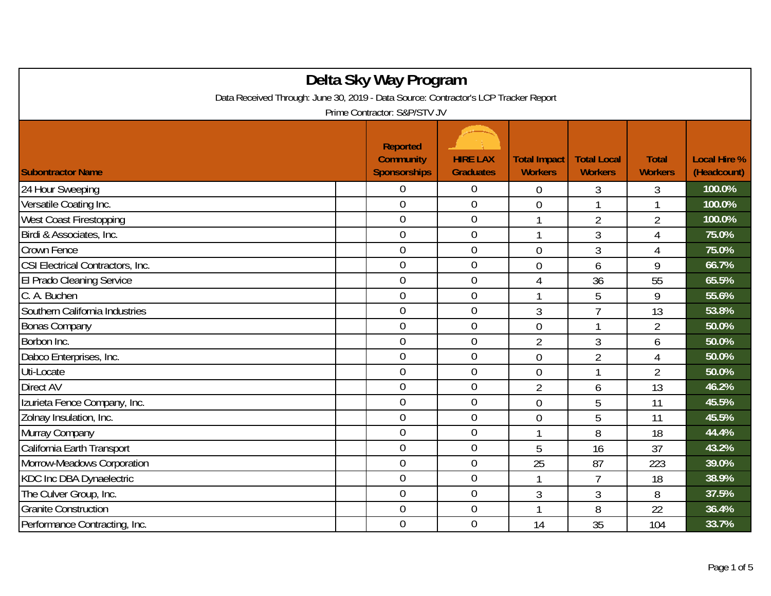| Delta Sky Way Program                                                               |  |                                                            |                                     |                                       |                                      |                                |                                    |  |  |
|-------------------------------------------------------------------------------------|--|------------------------------------------------------------|-------------------------------------|---------------------------------------|--------------------------------------|--------------------------------|------------------------------------|--|--|
| Data Received Through: June 30, 2019 - Data Source: Contractor's LCP Tracker Report |  |                                                            |                                     |                                       |                                      |                                |                                    |  |  |
| Prime Contractor: S&P/STV JV                                                        |  |                                                            |                                     |                                       |                                      |                                |                                    |  |  |
| <b>Subontractor Name</b>                                                            |  | <b>Reported</b><br><b>Community</b><br><b>Sponsorships</b> | <b>HIRE LAX</b><br><b>Graduates</b> | <b>Total Impact</b><br><b>Workers</b> | <b>Total Local</b><br><b>Workers</b> | <b>Total</b><br><b>Workers</b> | <b>Local Hire %</b><br>(Headcount) |  |  |
| 24 Hour Sweeping                                                                    |  | 0                                                          | $\boldsymbol{0}$                    | $\overline{0}$                        | 3                                    | 3                              | 100.0%                             |  |  |
| Versatile Coating Inc.                                                              |  | $\overline{0}$                                             | $\boldsymbol{0}$                    | $\overline{0}$                        | 1                                    | 1                              | 100.0%                             |  |  |
| West Coast Firestopping                                                             |  | $\mathbf 0$                                                | $\overline{0}$                      | $\mathbf{1}$                          | $\overline{2}$                       | $\overline{2}$                 | 100.0%                             |  |  |
| Birdi & Associates, Inc.                                                            |  | $\overline{0}$                                             | $\mathbf 0$                         | -1                                    | 3                                    | 4                              | 75.0%                              |  |  |
| Crown Fence                                                                         |  | $\overline{0}$                                             | $\boldsymbol{0}$                    | $\overline{0}$                        | 3                                    | 4                              | 75.0%                              |  |  |
| CSI Electrical Contractors, Inc.                                                    |  | $\overline{0}$                                             | $\theta$                            | $\overline{0}$                        | 6                                    | 9                              | 66.7%                              |  |  |
| El Prado Cleaning Service                                                           |  | $\overline{0}$                                             | $\boldsymbol{0}$                    | 4                                     | 36                                   | 55                             | 65.5%                              |  |  |
| C. A. Buchen                                                                        |  | $\overline{0}$                                             | $\overline{0}$                      | $\overline{\phantom{a}}$              | 5                                    | 9                              | 55.6%                              |  |  |
| Southern California Industries                                                      |  | $\overline{0}$                                             | $\overline{0}$                      | 3                                     | $\overline{1}$                       | 13                             | 53.8%                              |  |  |
| <b>Bonas Company</b>                                                                |  | $\overline{0}$                                             | $\overline{0}$                      | $\overline{0}$                        | $\mathbf{1}$                         | $\overline{2}$                 | 50.0%                              |  |  |
| Borbon Inc.                                                                         |  | $\overline{0}$                                             | $\overline{0}$                      | $\overline{2}$                        | 3                                    | 6                              | 50.0%                              |  |  |
| Dabco Enterprises, Inc.                                                             |  | $\overline{0}$                                             | $\overline{0}$                      | $\overline{0}$                        | $\overline{2}$                       | $\overline{4}$                 | 50.0%                              |  |  |
| Uti-Locate                                                                          |  | $\overline{0}$                                             | $\boldsymbol{0}$                    | $\overline{0}$                        | 1                                    | $\overline{2}$                 | 50.0%                              |  |  |
| Direct AV                                                                           |  | $\overline{0}$                                             | $\theta$                            | $\overline{2}$                        | 6                                    | 13                             | 46.2%                              |  |  |
| Izurieta Fence Company, Inc.                                                        |  | $\overline{0}$                                             | $\mathbf{0}$                        | $\overline{0}$                        | 5                                    | 11                             | 45.5%                              |  |  |
| Zolnay Insulation, Inc.                                                             |  | $\overline{0}$                                             | $\overline{0}$                      | $\overline{0}$                        | 5                                    | 11                             | 45.5%                              |  |  |
| Murray Company                                                                      |  | $\overline{0}$                                             | $\overline{0}$                      |                                       | 8                                    | 18                             | 44.4%                              |  |  |
| California Earth Transport                                                          |  | $\overline{0}$                                             | $\boldsymbol{0}$                    | 5                                     | 16                                   | 37                             | 43.2%                              |  |  |
| Morrow-Meadows Corporation                                                          |  | $\overline{0}$                                             | $\overline{0}$                      | 25                                    | 87                                   | 223                            | 39.0%                              |  |  |
| KDC Inc DBA Dynaelectric                                                            |  | $\boldsymbol{0}$                                           | $\boldsymbol{0}$                    |                                       | $\overline{7}$                       | 18                             | 38.9%                              |  |  |
| The Culver Group, Inc.                                                              |  | $\overline{0}$                                             | $\overline{0}$                      | $\mathfrak{Z}$                        | 3                                    | 8                              | 37.5%                              |  |  |
| <b>Granite Construction</b>                                                         |  | $\overline{0}$                                             | $\boldsymbol{0}$                    |                                       | 8                                    | 22                             | 36.4%                              |  |  |
| Performance Contracting, Inc.                                                       |  | $\overline{0}$                                             | $\overline{0}$                      | 14                                    | 35                                   | 104                            | 33.7%                              |  |  |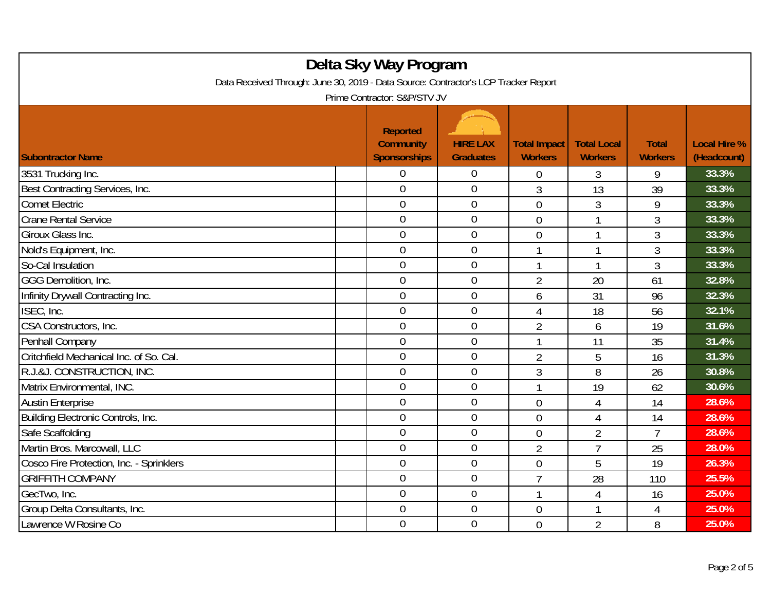| Delta Sky Way Program<br>Data Received Through: June 30, 2019 - Data Source: Contractor's LCP Tracker Report<br>Prime Contractor: S&P/STV JV |  |                                                            |                                     |                                       |                                      |                                |                                    |  |
|----------------------------------------------------------------------------------------------------------------------------------------------|--|------------------------------------------------------------|-------------------------------------|---------------------------------------|--------------------------------------|--------------------------------|------------------------------------|--|
| <b>Subontractor Name</b>                                                                                                                     |  | <b>Reported</b><br><b>Community</b><br><b>Sponsorships</b> | <b>HIRE LAX</b><br><b>Graduates</b> | <b>Total Impact</b><br><b>Workers</b> | <b>Total Local</b><br><b>Workers</b> | <b>Total</b><br><b>Workers</b> | <b>Local Hire %</b><br>(Headcount) |  |
| 3531 Trucking Inc.                                                                                                                           |  | $\overline{0}$                                             | $\overline{0}$                      | 0                                     | 3                                    | 9                              | 33.3%                              |  |
| Best Contracting Services, Inc.                                                                                                              |  | $\overline{0}$                                             | $\overline{0}$                      | 3                                     | 13                                   | 39                             | 33.3%                              |  |
| <b>Comet Electric</b>                                                                                                                        |  | $\mathbf 0$                                                | $\boldsymbol{0}$                    | $\overline{0}$                        | 3                                    | 9                              | 33.3%                              |  |
| <b>Crane Rental Service</b>                                                                                                                  |  | $\mathbf 0$                                                | $\mathbf 0$                         | $\mathbf 0$                           | 1                                    | 3                              | 33.3%                              |  |
| Giroux Glass Inc.                                                                                                                            |  | $\overline{0}$                                             | $\mathbf 0$                         | $\overline{0}$                        | 1                                    | 3                              | 33.3%                              |  |
| Nold's Equipment, Inc.                                                                                                                       |  | $\overline{0}$                                             | $\mathbf 0$                         | 1                                     | 1                                    | 3                              | 33.3%                              |  |
| So-Cal Insulation                                                                                                                            |  | $\overline{0}$                                             | $\overline{0}$                      | $\mathbf 1$                           | 1                                    | 3                              | 33.3%                              |  |
| GGG Demolition, Inc.                                                                                                                         |  | $\overline{0}$                                             | $\mathbf 0$                         | $\overline{2}$                        | 20                                   | 61                             | 32.8%                              |  |
| Infinity Drywall Contracting Inc.                                                                                                            |  | $\boldsymbol{0}$                                           | $\boldsymbol{0}$                    | 6                                     | 31                                   | 96                             | 32.3%                              |  |
| ISEC, Inc.                                                                                                                                   |  | $\overline{0}$                                             | $\overline{0}$                      | 4                                     | 18                                   | 56                             | 32.1%                              |  |
| CSA Constructors, Inc.                                                                                                                       |  | $\overline{0}$                                             | $\overline{0}$                      | $\overline{2}$                        | 6                                    | 19                             | 31.6%                              |  |
| Penhall Company                                                                                                                              |  | $\overline{0}$                                             | $\boldsymbol{0}$                    |                                       | 11                                   | 35                             | 31.4%                              |  |
| Critchfield Mechanical Inc. of So. Cal.                                                                                                      |  | $\mathbf 0$                                                | $\overline{0}$                      | $\overline{2}$                        | 5                                    | 16                             | 31.3%                              |  |
| R.J.&J. CONSTRUCTION, INC.                                                                                                                   |  | $\overline{0}$                                             | $\mathbf 0$                         | 3                                     | 8                                    | 26                             | 30.8%                              |  |
| Matrix Environmental, INC.                                                                                                                   |  | $\overline{0}$                                             | $\mathbf 0$                         | $\mathbf{1}$                          | 19                                   | 62                             | 30.6%                              |  |
| <b>Austin Enterprise</b>                                                                                                                     |  | $\overline{0}$                                             | $\mathbf 0$                         | $\overline{0}$                        | $\overline{4}$                       | 14                             | 28.6%                              |  |
| Building Electronic Controls, Inc.                                                                                                           |  | $\overline{0}$                                             | $\overline{0}$                      | $\overline{0}$                        | 4                                    | 14                             | 28.6%                              |  |
| Safe Scaffolding                                                                                                                             |  | $\overline{0}$                                             | $\overline{0}$                      | $\overline{0}$                        | $\overline{2}$                       | $\overline{7}$                 | 28.6%                              |  |
| Martin Bros. Marcowall, LLC                                                                                                                  |  | $\overline{0}$                                             | $\mathbf 0$                         | $\overline{2}$                        | $\overline{7}$                       | 25                             | 28.0%                              |  |
| Cosco Fire Protection, Inc. - Sprinklers                                                                                                     |  | $\mathbf 0$                                                | $\boldsymbol{0}$                    | $\overline{0}$                        | 5                                    | 19                             | 26.3%                              |  |
| <b>GRIFFITH COMPANY</b>                                                                                                                      |  | $\overline{0}$                                             | $\mathbf 0$                         | $\overline{7}$                        | 28                                   | 110                            | 25.5%                              |  |
| GecTwo, Inc.                                                                                                                                 |  | $\overline{0}$                                             | $\overline{0}$                      | $\overline{1}$                        | 4                                    | 16                             | 25.0%                              |  |
| Group Delta Consultants, Inc.                                                                                                                |  | $\boldsymbol{0}$                                           | $\boldsymbol{0}$                    | $\overline{0}$                        | 1                                    | 4                              | 25.0%                              |  |
| Lawrence W Rosine Co                                                                                                                         |  | $\overline{0}$                                             | $\mathbf 0$                         | $\overline{0}$                        | $\overline{2}$                       | 8                              | 25.0%                              |  |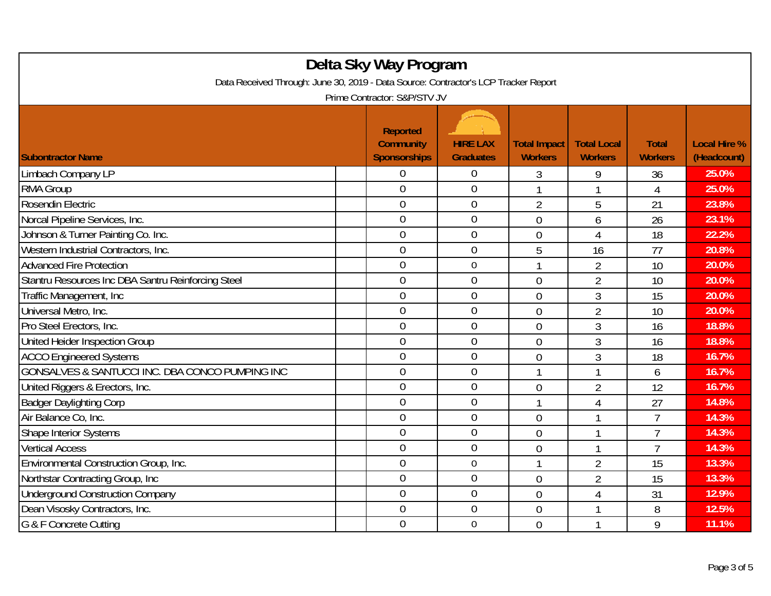| Delta Sky Way Program<br>Data Received Through: June 30, 2019 - Data Source: Contractor's LCP Tracker Report<br>Prime Contractor: S&P/STV JV |                                                            |                                     |                                       |                                      |                                |                                    |  |  |
|----------------------------------------------------------------------------------------------------------------------------------------------|------------------------------------------------------------|-------------------------------------|---------------------------------------|--------------------------------------|--------------------------------|------------------------------------|--|--|
| <b>Subontractor Name</b>                                                                                                                     | <b>Reported</b><br><b>Community</b><br><b>Sponsorships</b> | <b>HIRE LAX</b><br><b>Graduates</b> | <b>Total Impact</b><br><b>Workers</b> | <b>Total Local</b><br><b>Workers</b> | <b>Total</b><br><b>Workers</b> | <b>Local Hire %</b><br>(Headcount) |  |  |
| Limbach Company LP                                                                                                                           | 0                                                          | $\overline{0}$                      | 3                                     | 9                                    | 36                             | 25.0%                              |  |  |
| RMA Group                                                                                                                                    | $\overline{0}$                                             | $\overline{0}$                      |                                       |                                      | $\overline{4}$                 | 25.0%                              |  |  |
| Rosendin Electric                                                                                                                            | $\mathbf 0$                                                | $\boldsymbol{0}$                    | $\overline{2}$                        | 5                                    | 21                             | 23.8%                              |  |  |
| Norcal Pipeline Services, Inc.                                                                                                               | $\overline{0}$                                             | $\boldsymbol{0}$                    | $\theta$                              | 6                                    | 26                             | 23.1%                              |  |  |
| Johnson & Turner Painting Co. Inc.                                                                                                           | $\overline{0}$                                             | $\overline{0}$                      | $\overline{0}$                        | 4                                    | 18                             | 22.2%                              |  |  |
| Western Industrial Contractors, Inc.                                                                                                         | $\overline{0}$                                             | $\mathbf 0$                         | 5                                     | 16                                   | 77                             | 20.8%                              |  |  |
| <b>Advanced Fire Protection</b>                                                                                                              | $\overline{0}$                                             | $\boldsymbol{0}$                    | $\mathbf{1}$                          | $\overline{2}$                       | 10                             | 20.0%                              |  |  |
| Stantru Resources Inc DBA Santru Reinforcing Steel                                                                                           | $\mathbf{0}$                                               | $\mathbf 0$                         | $\overline{0}$                        | $\overline{2}$                       | 10                             | 20.0%                              |  |  |
| Traffic Management, Inc.                                                                                                                     | $\mathbf 0$                                                | $\boldsymbol{0}$                    | $\overline{0}$                        | 3                                    | 15                             | 20.0%                              |  |  |
| Universal Metro, Inc.                                                                                                                        | $\mathbf 0$                                                | $\overline{0}$                      | $\overline{0}$                        | $\overline{2}$                       | 10                             | 20.0%                              |  |  |
| Pro Steel Erectors, Inc.                                                                                                                     | $\overline{0}$                                             | $\overline{0}$                      | $\overline{0}$                        | 3                                    | 16                             | 18.8%                              |  |  |
| United Heider Inspection Group                                                                                                               | $\overline{0}$                                             | $\overline{0}$                      | $\overline{0}$                        | 3                                    | 16                             | 18.8%                              |  |  |
| <b>ACCO Engineered Systems</b>                                                                                                               | $\overline{0}$                                             | $\overline{0}$                      | $\overline{0}$                        | 3                                    | 18                             | 16.7%                              |  |  |
| GONSALVES & SANTUCCI INC. DBA CONCO PUMPING INC                                                                                              | $\mathbf 0$                                                | $\overline{0}$                      |                                       | 1                                    | 6                              | 16.7%                              |  |  |
| United Riggers & Erectors, Inc.                                                                                                              | $\overline{0}$                                             | $\overline{0}$                      | $\theta$                              | $\overline{2}$                       | 12                             | 16.7%                              |  |  |
| <b>Badger Daylighting Corp</b>                                                                                                               | $\overline{0}$                                             | $\mathbf 0$                         | $\mathbf{1}$                          | $\overline{4}$                       | 27                             | 14.8%                              |  |  |
| Air Balance Co, Inc.                                                                                                                         | $\overline{0}$                                             | $\overline{0}$                      | $\overline{0}$                        | 1                                    | $\overline{7}$                 | 14.3%                              |  |  |
| Shape Interior Systems                                                                                                                       | $\mathbf 0$                                                | $\boldsymbol{0}$                    | $\overline{0}$                        | 1                                    | $\overline{7}$                 | 14.3%                              |  |  |
| <b>Vertical Access</b>                                                                                                                       | $\overline{0}$                                             | $\mathbf 0$                         | $\overline{0}$                        | 1                                    | $\overline{7}$                 | 14.3%                              |  |  |
| Environmental Construction Group, Inc.                                                                                                       | $\overline{0}$                                             | $\boldsymbol{0}$                    |                                       | $\overline{2}$                       | 15                             | 13.3%                              |  |  |
| Northstar Contracting Group, Inc.                                                                                                            | $\overline{0}$                                             | $\mathbf 0$                         | $\overline{0}$                        | $\overline{2}$                       | 15                             | 13.3%                              |  |  |
| <b>Underground Construction Company</b>                                                                                                      | $\overline{0}$                                             | $\overline{0}$                      | $\overline{0}$                        | 4                                    | 31                             | 12.9%                              |  |  |
| Dean Visosky Contractors, Inc.                                                                                                               | $\boldsymbol{0}$                                           | $\boldsymbol{0}$                    | $\overline{0}$                        | 1                                    | 8                              | 12.5%                              |  |  |
| G & F Concrete Cutting                                                                                                                       | $\overline{0}$                                             | $\mathbf 0$                         | $\overline{0}$                        |                                      | 9                              | 11.1%                              |  |  |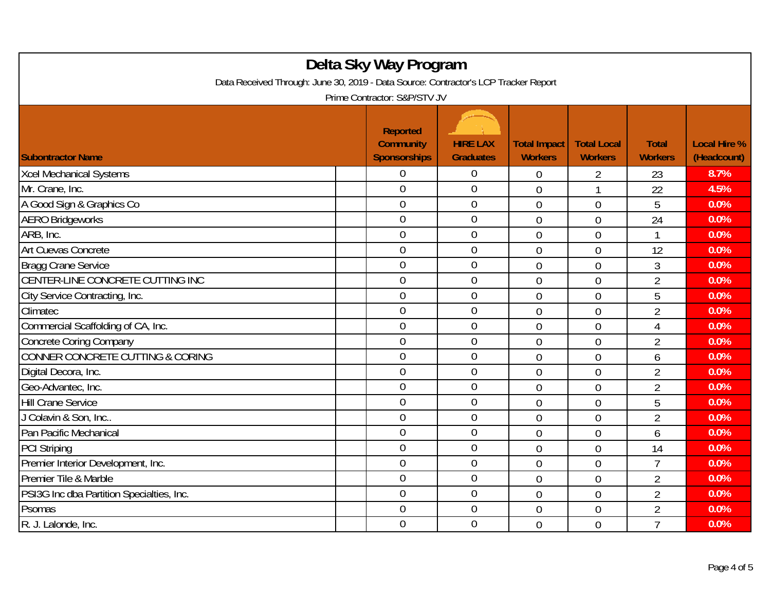| Delta Sky Way Program<br>Data Received Through: June 30, 2019 - Data Source: Contractor's LCP Tracker Report<br>Prime Contractor: S&P/STV JV |  |                                                            |                                     |                                       |                                      |                                |                                    |  |
|----------------------------------------------------------------------------------------------------------------------------------------------|--|------------------------------------------------------------|-------------------------------------|---------------------------------------|--------------------------------------|--------------------------------|------------------------------------|--|
| <b>Subontractor Name</b>                                                                                                                     |  | <b>Reported</b><br><b>Community</b><br><b>Sponsorships</b> | <b>HIRE LAX</b><br><b>Graduates</b> | <b>Total Impact</b><br><b>Workers</b> | <b>Total Local</b><br><b>Workers</b> | <b>Total</b><br><b>Workers</b> | <b>Local Hire %</b><br>(Headcount) |  |
| <b>Xcel Mechanical Systems</b>                                                                                                               |  | 0                                                          | $\mathbf 0$                         | $\mathbf 0$                           | 2                                    | 23                             | 8.7%                               |  |
| Mr. Crane, Inc.                                                                                                                              |  | $\overline{0}$                                             | $\overline{0}$                      | $\overline{0}$                        | 1                                    | 22                             | 4.5%                               |  |
| A Good Sign & Graphics Co                                                                                                                    |  | $\mathbf 0$                                                | $\boldsymbol{0}$                    | $\overline{0}$                        | $\overline{0}$                       | 5                              | 0.0%                               |  |
| <b>AERO Bridgeworks</b>                                                                                                                      |  | $\mathbf 0$                                                | $\mathbf 0$                         | $\theta$                              | $\overline{0}$                       | 24                             | 0.0%                               |  |
| ARB, Inc.                                                                                                                                    |  | $\overline{0}$                                             | $\mathbf 0$                         | $\overline{0}$                        | $\overline{0}$                       | 1                              | 0.0%                               |  |
| Art Cuevas Concrete                                                                                                                          |  | $\mathbf 0$                                                | $\mathbf 0$                         | $\overline{0}$                        | $\overline{0}$                       | 12                             | 0.0%                               |  |
| <b>Bragg Crane Service</b>                                                                                                                   |  | $\overline{0}$                                             | $\overline{0}$                      | $\mathbf 0$                           | $\overline{0}$                       | 3                              | 0.0%                               |  |
| CENTER-LINE CONCRETE CUTTING INC                                                                                                             |  | $\overline{0}$                                             | $\mathbf 0$                         | $\overline{0}$                        | $\overline{0}$                       | $\overline{2}$                 | 0.0%                               |  |
| City Service Contracting, Inc.                                                                                                               |  | $\overline{0}$                                             | $\boldsymbol{0}$                    | $\mathbf 0$                           | $\overline{0}$                       | 5                              | 0.0%                               |  |
| Climatec                                                                                                                                     |  | $\overline{0}$                                             | $\mathbf 0$                         | $\overline{0}$                        | $\overline{0}$                       | $\overline{2}$                 | 0.0%                               |  |
| Commercial Scaffolding of CA, Inc.                                                                                                           |  | $\overline{0}$                                             | $\mathbf 0$                         | $\overline{0}$                        | $\overline{0}$                       | $\overline{4}$                 | 0.0%                               |  |
| <b>Concrete Coring Company</b>                                                                                                               |  | $\overline{0}$                                             | $\overline{0}$                      | $\overline{0}$                        | $\overline{0}$                       | $\overline{2}$                 | 0.0%                               |  |
| CONNER CONCRETE CUTTING & CORING                                                                                                             |  | $\mathbf 0$                                                | $\boldsymbol{0}$                    | $\overline{0}$                        | $\overline{0}$                       | 6                              | 0.0%                               |  |
| Digital Decora, Inc.                                                                                                                         |  | $\overline{0}$                                             | $\mathbf 0$                         | $\mathbf 0$                           | $\overline{0}$                       | $\overline{2}$                 | 0.0%                               |  |
| Geo-Advantec, Inc.                                                                                                                           |  | $\overline{0}$                                             | $\boldsymbol{0}$                    | $\overline{0}$                        | $\overline{0}$                       | $\overline{2}$                 | 0.0%                               |  |
| <b>Hill Crane Service</b>                                                                                                                    |  | $\overline{0}$                                             | $\mathbf 0$                         | $\overline{0}$                        | $\overline{0}$                       | 5                              | 0.0%                               |  |
| J Colavin & Son, Inc                                                                                                                         |  | $\overline{0}$                                             | $\overline{0}$                      | $\overline{0}$                        | $\overline{0}$                       | $\overline{2}$                 | 0.0%                               |  |
| Pan Pacific Mechanical                                                                                                                       |  | $\overline{0}$                                             | $\boldsymbol{0}$                    | $\overline{0}$                        | $\overline{0}$                       | 6                              | 0.0%                               |  |
| <b>PCI Striping</b>                                                                                                                          |  | $\overline{0}$                                             | $\mathbf 0$                         | $\overline{0}$                        | $\overline{0}$                       | 14                             | 0.0%                               |  |
| Premier Interior Development, Inc.                                                                                                           |  | $\mathbf 0$                                                | $\boldsymbol{0}$                    | $\mathbf 0$                           | $\mathbf 0$                          | 7                              | 0.0%                               |  |
| Premier Tile & Marble                                                                                                                        |  | $\overline{0}$                                             | $\mathbf 0$                         | $\overline{0}$                        | $\overline{0}$                       | $\overline{2}$                 | 0.0%                               |  |
| PSI3G Inc dba Partition Specialties, Inc.                                                                                                    |  | $\overline{0}$                                             | $\overline{0}$                      | 0                                     | $\overline{0}$                       | $\overline{2}$                 | 0.0%                               |  |
| Psomas                                                                                                                                       |  | $\boldsymbol{0}$                                           | $\boldsymbol{0}$                    | $\overline{0}$                        | $\mathbf 0$                          | $\overline{2}$                 | 0.0%                               |  |
| R. J. Lalonde, Inc.                                                                                                                          |  | $\overline{0}$                                             | $\mathbf 0$                         | $\overline{0}$                        | $\overline{0}$                       | $\overline{7}$                 | 0.0%                               |  |